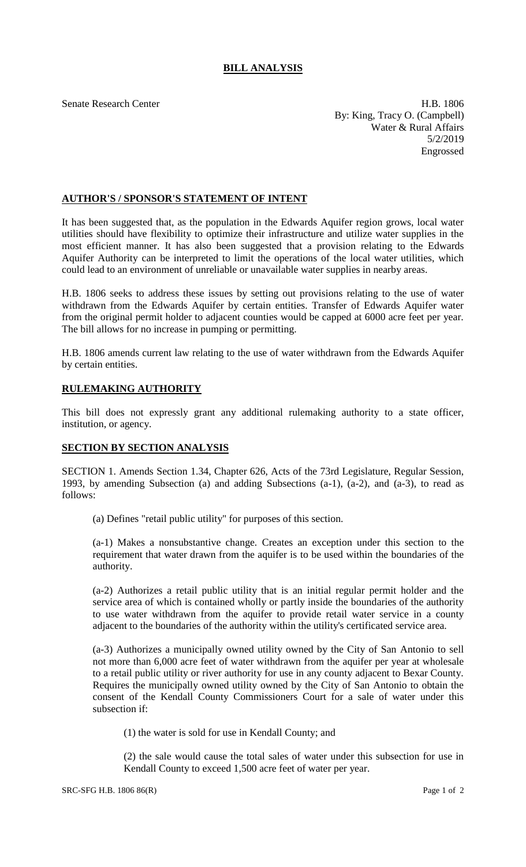## **BILL ANALYSIS**

Senate Research Center **H.B. 1806** By: King, Tracy O. (Campbell) Water & Rural Affairs 5/2/2019 Engrossed

## **AUTHOR'S / SPONSOR'S STATEMENT OF INTENT**

It has been suggested that, as the population in the Edwards Aquifer region grows, local water utilities should have flexibility to optimize their infrastructure and utilize water supplies in the most efficient manner. It has also been suggested that a provision relating to the Edwards Aquifer Authority can be interpreted to limit the operations of the local water utilities, which could lead to an environment of unreliable or unavailable water supplies in nearby areas.

H.B. 1806 seeks to address these issues by setting out provisions relating to the use of water withdrawn from the Edwards Aquifer by certain entities. Transfer of Edwards Aquifer water from the original permit holder to adjacent counties would be capped at 6000 acre feet per year. The bill allows for no increase in pumping or permitting.

H.B. 1806 amends current law relating to the use of water withdrawn from the Edwards Aquifer by certain entities.

## **RULEMAKING AUTHORITY**

This bill does not expressly grant any additional rulemaking authority to a state officer, institution, or agency.

## **SECTION BY SECTION ANALYSIS**

SECTION 1. Amends Section 1.34, Chapter 626, Acts of the 73rd Legislature, Regular Session, 1993, by amending Subsection (a) and adding Subsections (a-1), (a-2), and (a-3), to read as follows:

(a) Defines "retail public utility" for purposes of this section.

(a-1) Makes a nonsubstantive change. Creates an exception under this section to the requirement that water drawn from the aquifer is to be used within the boundaries of the authority.

(a-2) Authorizes a retail public utility that is an initial regular permit holder and the service area of which is contained wholly or partly inside the boundaries of the authority to use water withdrawn from the aquifer to provide retail water service in a county adjacent to the boundaries of the authority within the utility's certificated service area.

(a-3) Authorizes a municipally owned utility owned by the City of San Antonio to sell not more than 6,000 acre feet of water withdrawn from the aquifer per year at wholesale to a retail public utility or river authority for use in any county adjacent to Bexar County. Requires the municipally owned utility owned by the City of San Antonio to obtain the consent of the Kendall County Commissioners Court for a sale of water under this subsection if:

(1) the water is sold for use in Kendall County; and

(2) the sale would cause the total sales of water under this subsection for use in Kendall County to exceed 1,500 acre feet of water per year.